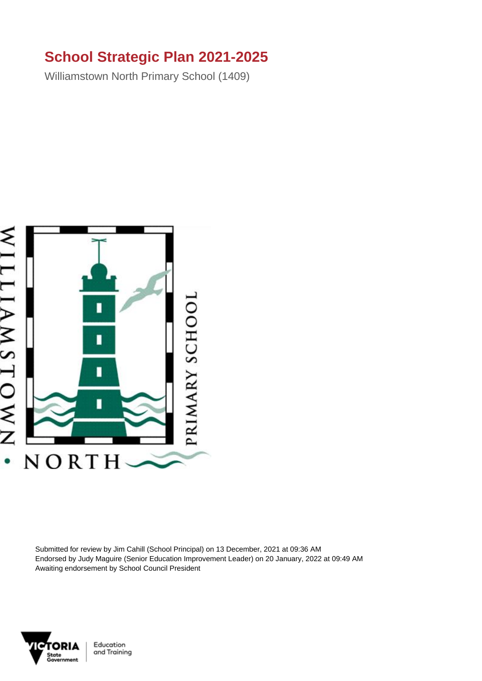## **School Strategic Plan 2021-2025**

Williamstown North Primary School (1409)



Submitted for review by Jim Cahill (School Principal) on 13 December, 2021 at 09:36 AM Endorsed by Judy Maguire (Senior Education Improvement Leader) on 20 January, 2022 at 09:49 AM Awaiting endorsement by School Council President



Education and Training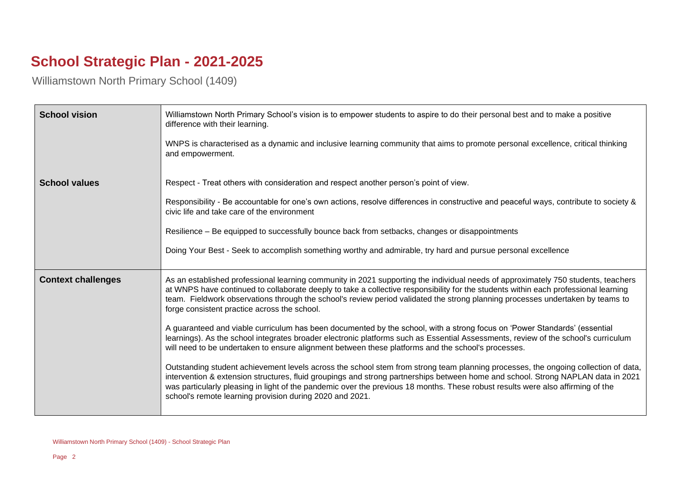## **School Strategic Plan - 2021-2025**

Williamstown North Primary School (1409)

| <b>School vision</b>      | Williamstown North Primary School's vision is to empower students to aspire to do their personal best and to make a positive<br>difference with their learning.<br>WNPS is characterised as a dynamic and inclusive learning community that aims to promote personal excellence, critical thinking<br>and empowerment.                                                                                                                                                                                                                                                                                                                                                                                                                                                                                                                                                                                                                                                                                                                                                                                                                                                                                                                                                                                       |
|---------------------------|--------------------------------------------------------------------------------------------------------------------------------------------------------------------------------------------------------------------------------------------------------------------------------------------------------------------------------------------------------------------------------------------------------------------------------------------------------------------------------------------------------------------------------------------------------------------------------------------------------------------------------------------------------------------------------------------------------------------------------------------------------------------------------------------------------------------------------------------------------------------------------------------------------------------------------------------------------------------------------------------------------------------------------------------------------------------------------------------------------------------------------------------------------------------------------------------------------------------------------------------------------------------------------------------------------------|
| <b>School values</b>      | Respect - Treat others with consideration and respect another person's point of view.<br>Responsibility - Be accountable for one's own actions, resolve differences in constructive and peaceful ways, contribute to society &<br>civic life and take care of the environment<br>Resilience – Be equipped to successfully bounce back from setbacks, changes or disappointments<br>Doing Your Best - Seek to accomplish something worthy and admirable, try hard and pursue personal excellence                                                                                                                                                                                                                                                                                                                                                                                                                                                                                                                                                                                                                                                                                                                                                                                                              |
| <b>Context challenges</b> | As an established professional learning community in 2021 supporting the individual needs of approximately 750 students, teachers<br>at WNPS have continued to collaborate deeply to take a collective responsibility for the students within each professional learning<br>team. Fieldwork observations through the school's review period validated the strong planning processes undertaken by teams to<br>forge consistent practice across the school.<br>A guaranteed and viable curriculum has been documented by the school, with a strong focus on 'Power Standards' (essential<br>learnings). As the school integrates broader electronic platforms such as Essential Assessments, review of the school's curriculum<br>will need to be undertaken to ensure alignment between these platforms and the school's processes.<br>Outstanding student achievement levels across the school stem from strong team planning processes, the ongoing collection of data,<br>intervention & extension structures, fluid groupings and strong partnerships between home and school. Strong NAPLAN data in 2021<br>was particularly pleasing in light of the pandemic over the previous 18 months. These robust results were also affirming of the<br>school's remote learning provision during 2020 and 2021. |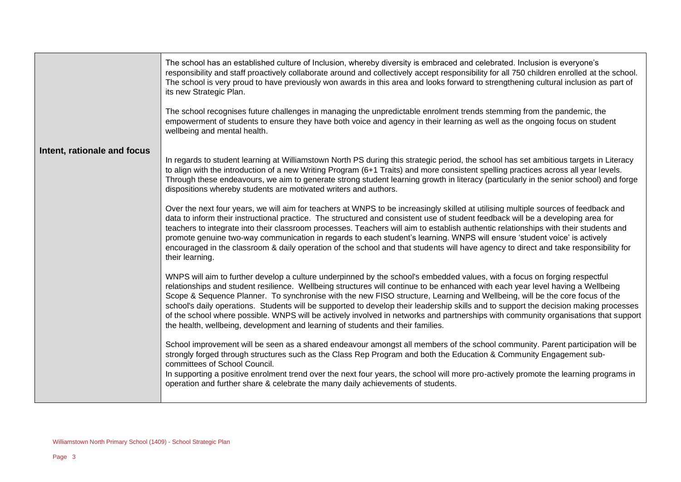|                             | The school has an established culture of Inclusion, whereby diversity is embraced and celebrated. Inclusion is everyone's<br>responsibility and staff proactively collaborate around and collectively accept responsibility for all 750 children enrolled at the school.<br>The school is very proud to have previously won awards in this area and looks forward to strengthening cultural inclusion as part of<br>its new Strategic Plan.<br>The school recognises future challenges in managing the unpredictable enrolment trends stemming from the pandemic, the<br>empowerment of students to ensure they have both voice and agency in their learning as well as the ongoing focus on student<br>wellbeing and mental health.                                                                                                                                                                                                                                                                                                                                                                                                                                                                                                                                                                                                                                                                                                                                                                                                                                                                                                                                                                                                                                                                                                                                                                                                                                                                                                                                                                                                                                                                                                                                                                                                                                                                                                                                                             |
|-----------------------------|--------------------------------------------------------------------------------------------------------------------------------------------------------------------------------------------------------------------------------------------------------------------------------------------------------------------------------------------------------------------------------------------------------------------------------------------------------------------------------------------------------------------------------------------------------------------------------------------------------------------------------------------------------------------------------------------------------------------------------------------------------------------------------------------------------------------------------------------------------------------------------------------------------------------------------------------------------------------------------------------------------------------------------------------------------------------------------------------------------------------------------------------------------------------------------------------------------------------------------------------------------------------------------------------------------------------------------------------------------------------------------------------------------------------------------------------------------------------------------------------------------------------------------------------------------------------------------------------------------------------------------------------------------------------------------------------------------------------------------------------------------------------------------------------------------------------------------------------------------------------------------------------------------------------------------------------------------------------------------------------------------------------------------------------------------------------------------------------------------------------------------------------------------------------------------------------------------------------------------------------------------------------------------------------------------------------------------------------------------------------------------------------------------------------------------------------------------------------------------------------------|
| Intent, rationale and focus | In regards to student learning at Williamstown North PS during this strategic period, the school has set ambitious targets in Literacy<br>to align with the introduction of a new Writing Program (6+1 Traits) and more consistent spelling practices across all year levels.<br>Through these endeavours, we aim to generate strong student learning growth in literacy (particularly in the senior school) and forge<br>dispositions whereby students are motivated writers and authors.<br>Over the next four years, we will aim for teachers at WNPS to be increasingly skilled at utilising multiple sources of feedback and<br>data to inform their instructional practice. The structured and consistent use of student feedback will be a developing area for<br>teachers to integrate into their classroom processes. Teachers will aim to establish authentic relationships with their students and<br>promote genuine two-way communication in regards to each student's learning. WNPS will ensure 'student voice' is actively<br>encouraged in the classroom & daily operation of the school and that students will have agency to direct and take responsibility for<br>their learning.<br>WNPS will aim to further develop a culture underpinned by the school's embedded values, with a focus on forging respectful<br>relationships and student resilience. Wellbeing structures will continue to be enhanced with each year level having a Wellbeing<br>Scope & Sequence Planner. To synchronise with the new FISO structure, Learning and Wellbeing, will be the core focus of the<br>school's daily operations. Students will be supported to develop their leadership skills and to support the decision making processes<br>of the school where possible. WNPS will be actively involved in networks and partnerships with community organisations that support<br>the health, wellbeing, development and learning of students and their families.<br>School improvement will be seen as a shared endeavour amongst all members of the school community. Parent participation will be<br>strongly forged through structures such as the Class Rep Program and both the Education & Community Engagement sub-<br>committees of School Council.<br>In supporting a positive enrolment trend over the next four years, the school will more pro-actively promote the learning programs in<br>operation and further share & celebrate the many daily achievements of students. |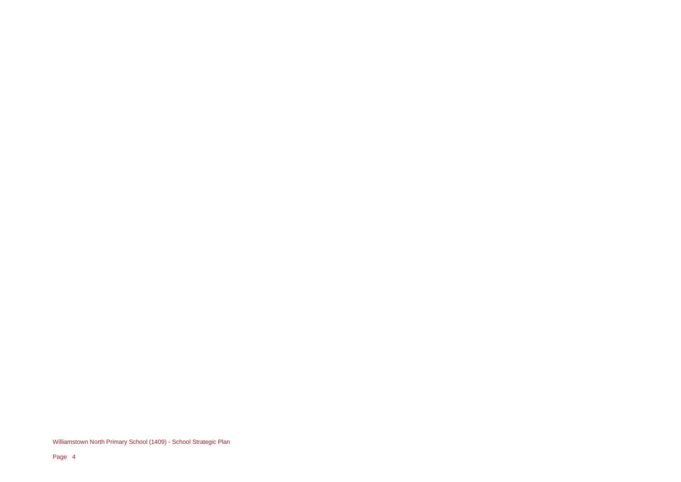Williamstown North Primary School (1409) - School Strategic Plan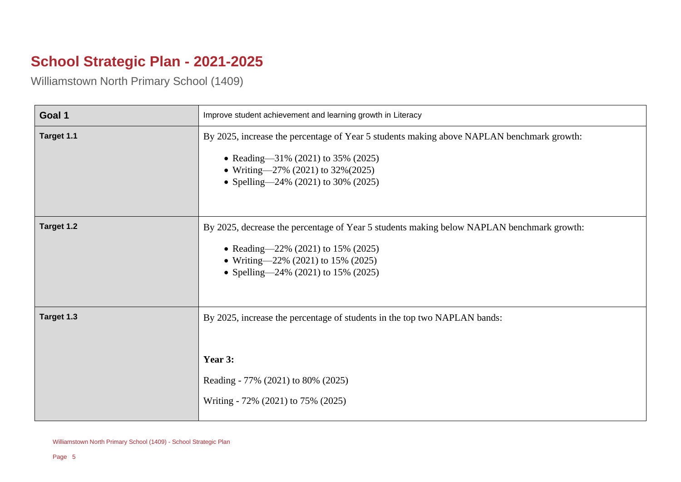## **School Strategic Plan - 2021-2025**

Williamstown North Primary School (1409)

| Goal 1     | Improve student achievement and learning growth in Literacy                                                                                                                                                        |
|------------|--------------------------------------------------------------------------------------------------------------------------------------------------------------------------------------------------------------------|
| Target 1.1 | By 2025, increase the percentage of Year 5 students making above NAPLAN benchmark growth:<br>• Reading $-31\%$ (2021) to 35% (2025)<br>• Writing—27% (2021) to $32\%(2025)$<br>• Spelling—24% (2021) to 30% (2025) |
| Target 1.2 | By 2025, decrease the percentage of Year 5 students making below NAPLAN benchmark growth:<br>• Reading—22% (2021) to 15% (2025)<br>• Writing—22% (2021) to 15% (2025)<br>• Spelling—24% (2021) to 15% (2025)       |
| Target 1.3 | By 2025, increase the percentage of students in the top two NAPLAN bands:<br>Year 3:<br>Reading - 77% (2021) to 80% (2025)<br>Writing - 72% (2021) to 75% (2025)                                                   |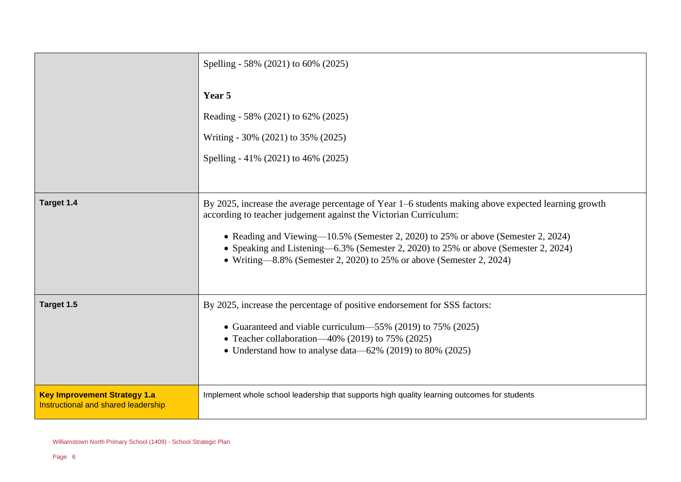|                                                                            | Spelling - 58% (2021) to 60% (2025)                                                                                                                                                                                                                           |
|----------------------------------------------------------------------------|---------------------------------------------------------------------------------------------------------------------------------------------------------------------------------------------------------------------------------------------------------------|
|                                                                            | Year 5                                                                                                                                                                                                                                                        |
|                                                                            | Reading - 58% (2021) to 62% (2025)                                                                                                                                                                                                                            |
|                                                                            | Writing - 30% (2021) to 35% (2025)                                                                                                                                                                                                                            |
|                                                                            | Spelling - 41% (2021) to 46% (2025)                                                                                                                                                                                                                           |
|                                                                            |                                                                                                                                                                                                                                                               |
| Target 1.4                                                                 | By 2025, increase the average percentage of Year 1–6 students making above expected learning growth<br>according to teacher judgement against the Victorian Curriculum:                                                                                       |
|                                                                            | • Reading and Viewing—10.5% (Semester 2, 2020) to 25% or above (Semester 2, 2024)<br>• Speaking and Listening—6.3% (Semester 2, 2020) to 25% or above (Semester 2, 2024)<br>• Writing—8.8% (Semester 2, 2020) to $25\%$ or above (Semester 2, 2024)           |
| Target 1.5                                                                 | By 2025, increase the percentage of positive endorsement for SSS factors:<br>• Guaranteed and viable curriculum—55% (2019) to 75% (2025)<br>• Teacher collaboration—40% (2019) to 75% (2025)<br>• Understand how to analyse data— $62\%$ (2019) to 80% (2025) |
| <b>Key Improvement Strategy 1.a</b><br>Instructional and shared leadership | Implement whole school leadership that supports high quality learning outcomes for students                                                                                                                                                                   |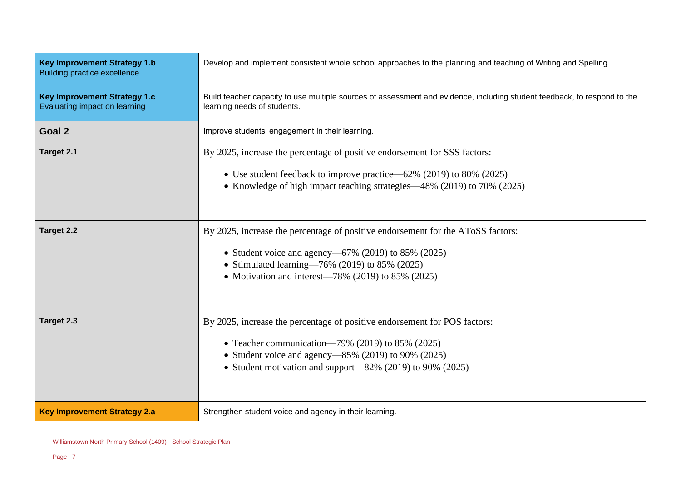| <b>Key Improvement Strategy 1.b</b><br><b>Building practice excellence</b> | Develop and implement consistent whole school approaches to the planning and teaching of Writing and Spelling.                                                                                                                                     |
|----------------------------------------------------------------------------|----------------------------------------------------------------------------------------------------------------------------------------------------------------------------------------------------------------------------------------------------|
| <b>Key Improvement Strategy 1.c</b><br>Evaluating impact on learning       | Build teacher capacity to use multiple sources of assessment and evidence, including student feedback, to respond to the<br>learning needs of students.                                                                                            |
| Goal 2                                                                     | Improve students' engagement in their learning.                                                                                                                                                                                                    |
| Target 2.1                                                                 | By 2025, increase the percentage of positive endorsement for SSS factors:<br>• Use student feedback to improve practice— $62\%$ (2019) to 80% (2025)<br>• Knowledge of high impact teaching strategies—48% (2019) to 70% (2025)                    |
| Target 2.2                                                                 | By 2025, increase the percentage of positive endorsement for the AToSS factors:<br>• Student voice and agency— $67\%$ (2019) to 85% (2025)<br>• Stimulated learning—76% (2019) to 85% (2025)<br>• Motivation and interest—78% (2019) to 85% (2025) |
| Target 2.3                                                                 | By 2025, increase the percentage of positive endorsement for POS factors:<br>• Teacher communication—79% (2019) to 85% (2025)<br>• Student voice and agency—85% (2019) to 90% (2025)<br>• Student motivation and support—82% (2019) to 90% (2025)  |
| <b>Key Improvement Strategy 2.a</b>                                        | Strengthen student voice and agency in their learning.                                                                                                                                                                                             |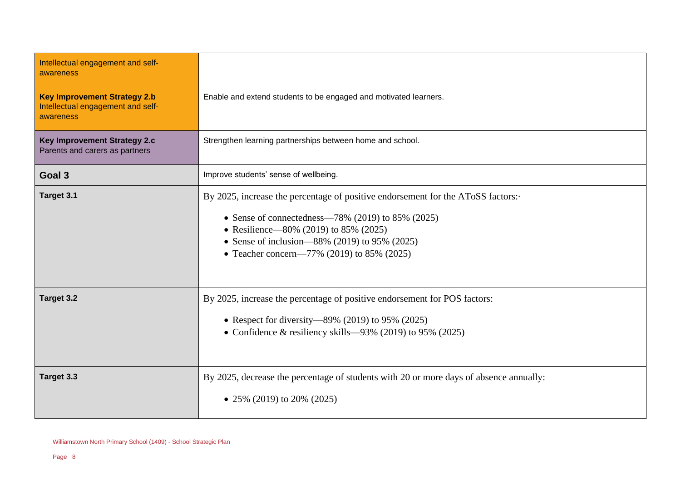| Intellectual engagement and self-<br>awareness                                        |                                                                                                                                                                                                                                                                                  |
|---------------------------------------------------------------------------------------|----------------------------------------------------------------------------------------------------------------------------------------------------------------------------------------------------------------------------------------------------------------------------------|
| <b>Key Improvement Strategy 2.b</b><br>Intellectual engagement and self-<br>awareness | Enable and extend students to be engaged and motivated learners.                                                                                                                                                                                                                 |
| <b>Key Improvement Strategy 2.c</b><br>Parents and carers as partners                 | Strengthen learning partnerships between home and school.                                                                                                                                                                                                                        |
| Goal 3                                                                                | Improve students' sense of wellbeing.                                                                                                                                                                                                                                            |
| Target 3.1                                                                            | By 2025, increase the percentage of positive endorsement for the AToSS factors:<br>• Sense of connectedness— $78\%$ (2019) to 85% (2025)<br>• Resilience—80% (2019) to 85% (2025)<br>• Sense of inclusion—88% (2019) to 95% (2025)<br>• Teacher concern—77% (2019) to 85% (2025) |
| Target 3.2                                                                            | By 2025, increase the percentage of positive endorsement for POS factors:<br>• Respect for diversity—89% $(2019)$ to 95% $(2025)$<br>• Confidence & resiliency skills—93% (2019) to 95% (2025)                                                                                   |
| Target 3.3                                                                            | By 2025, decrease the percentage of students with 20 or more days of absence annually:<br>• 25% (2019) to 20% (2025)                                                                                                                                                             |